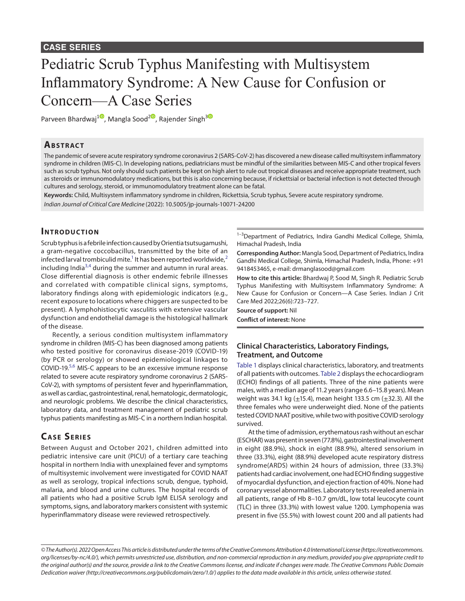# Pediatric Scrub Typhus Manifesting with Multisystem Inflammatory Syndrome: A New Cause for Confusion or Concern—A Case Series

Parveen Bhardwaj<sup>[1](https://orcid.org/0000-0002-4470-4013)0</sup>[,](https://orcid.org/0000-0002-9616-5410) Mangla Sood<sup>2</sup><sup>0</sup>, Rajender Singh<sup>[3](https://orcid.org/0000-0002-2918-6035)<sup>0</sup></sup>

#### **Ab s t rac t**

The pandemic of severe acute respiratory syndrome coronavirus 2 (SARS-CoV-2) has discovered a new disease called multisystem inflammatory syndrome in children (MIS-C). In developing nations, pediatricians must be mindful of the similarities between MIS-C and other tropical fevers such as scrub typhus. Not only should such patients be kept on high alert to rule out tropical diseases and receive appropriate treatment, such as steroids or immunomodulatory medications, but this is also concerning because, if rickettsial or bacterial infection is not detected through cultures and serology, steroid, or immunomodulatory treatment alone can be fatal.

**Keywords:** Child, Multisystem inflammatory syndrome in children, Rickettsia, Scrub typhus, Severe acute respiratory syndrome. *Indian Journal of Critical Care Medicine* (2022): 10.5005/jp-journals-10071-24200

## **INTRODUCTION**

Scrub typhus is a febrile infection caused by Orientia tsutsugamushi, a gram-negative coccobacillus, transmitted by the bite of an infected larval trombiculid mite. $^1$  It has been reported worldwide, $^2$  $^2$ including India<sup>[3](#page-4-2),[4](#page-4-3)</sup> during the summer and autumn in rural areas. Close differential diagnosis is other endemic febrile illnesses and correlated with compatible clinical signs, symptoms, laboratory findings along with epidemiologic indicators (e.g., recent exposure to locations where chiggers are suspected to be present). A lymphohistiocytic vasculitis with extensive vascular dysfunction and endothelial damage is the histological hallmark of the disease.

Recently, a serious condition multisystem inflammatory syndrome in children (MIS-C) has been diagnosed among patients who tested positive for coronavirus disease-2019 (COVID-19) (by PCR or serology) or showed epidemiological linkages to COVID-19.<sup>[5](#page-4-4),[6](#page-4-5)</sup> MIS-C appears to be an excessive immune response related to severe acute respiratory syndrome coronavirus 2 (SARS-CoV-2), with symptoms of persistent fever and hyperinflammation, as well as cardiac, gastrointestinal, renal, hematologic, dermatologic, and neurologic problems. We describe the clinical characteristics, laboratory data, and treatment management of pediatric scrub typhus patients manifesting as MIS-C in a northern Indian hospital.

# **CASE SERIES**

Between August and October 2021, children admitted into pediatric intensive care unit (PICU) of a tertiary care teaching hospital in northern India with unexplained fever and symptoms of multisystemic involvement were investigated for COVID NAAT as well as serology, tropical infections scrub, dengue, typhoid, malaria, and blood and urine cultures. The hospital records of all patients who had a positive Scrub IgM ELISA serology and symptoms, signs, and laboratory markers consistent with systemic hyperinflammatory disease were reviewed retrospectively.

<sup>1-3</sup>Department of Pediatrics, Indira Gandhi Medical College, Shimla, Himachal Pradesh, India

**Corresponding Author:** Mangla Sood, Department of Pediatrics, Indira Gandhi Medical College, Shimla, Himachal Pradesh, India, Phone: +91 9418453465, e-mail: drmanglasood@gmail.com

**How to cite this article:** Bhardwaj P, Sood M, Singh R. Pediatric Scrub Typhus Manifesting with Multisystem Inflammatory Syndrome: A New Cause for Confusion or Concern—A Case Series. Indian J Crit Care Med 2022;26(6):723–727.

**Source of support:** Nil

**Conflict of interest:** None

## **Clinical Characteristics, Laboratory Findings, Treatment, and Outcome**

[Table 1](#page-1-0) displays clinical characteristics, laboratory, and treatments of all patients with outcomes. [Table 2](#page-3-0) displays the echocardiogram (ECHO) findings of all patients. Three of the nine patients were males, with a median age of 11.2 years (range 6.6–15.8 years). Mean weight was 34.1 kg  $(\pm 15.4)$ , mean height 133.5 cm  $(\pm 32.3)$ . All the three females who were underweight died. None of the patients tested COVID NAAT positive, while two with positive COVID serology survived.

At the time of admission, erythematous rash without an eschar (ESCHAR) was present in seven (77.8%), gastrointestinal involvement in eight (88.9%), shock in eight (88.9%), altered sensorium in three (33.3%), eight (88.9%) developed acute respiratory distress syndrome(ARDS) within 24 hours of admission, three (33.3%) patients had cardiac involvement, one had ECHO finding suggestive of myocardial dysfunction, and ejection fraction of 40%. None had coronary vessel abnormalities. Laboratory tests revealed anemia in all patients, range of Hb 8–10.7 gm/dL, low total leucocyte count (TLC) in three (33.3%) with lowest value 1200. Lymphopenia was present in five (55.5%) with lowest count 200 and all patients had

*<sup>©</sup> The Author(s). 2022 Open Access This article is distributed under the terms of the Creative Commons Attribution 4.0 International License ([https://creativecommons.](https://creativecommons.org/licenses/by-nc/4.0/) [org/licenses/by-nc/4.0/](https://creativecommons.org/licenses/by-nc/4.0/)), which permits unrestricted use, distribution, and non-commercial reproduction in any medium, provided you give appropriate credit to the original author(s) and the source, provide a link to the Creative Commons license, and indicate if changes were made. The Creative Commons Public Domain Dedication waiver ([http://creativecommons.org/publicdomain/zero/1.0/\)](http://creativecommons.org/publicdomain/zero/1.0/) applies to the data made available in this article, unless otherwise stated.*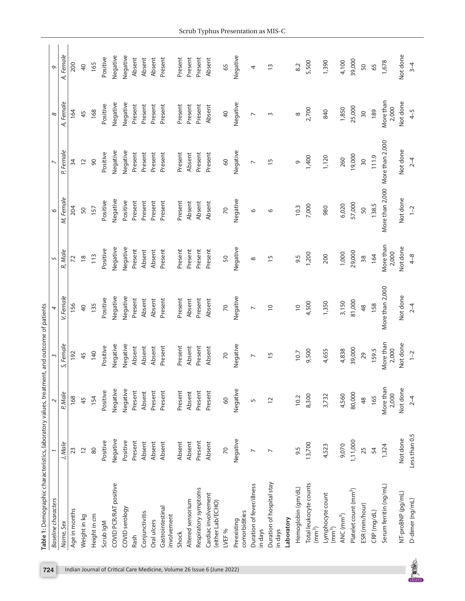|   | Table 1: Demographic characteristics, laboratory values, treatment, and outcome of patients |                |                    |                    |                 |                    |                                 |                 |                    |                |
|---|---------------------------------------------------------------------------------------------|----------------|--------------------|--------------------|-----------------|--------------------|---------------------------------|-----------------|--------------------|----------------|
|   | <b>Baseline</b> characters                                                                  |                | $\sim$             | 3                  | 4               | 5                  | $\circ$                         |                 | $\infty$           | $\circ$        |
|   | Name, Sex                                                                                   | J, Male        | P, Male            | S, Female          | V, Female       | R, Male            | M, Female                       | P, Female       | A, Female          | A, Female      |
|   | Age in months                                                                               | 23             | 168                | 192                | 156             | $\mathcal{L}$      | 204                             | 34              | 164                | 200            |
|   | Weight in kg                                                                                | $\overline{c}$ | 45                 | 45                 | $\overline{40}$ | $\frac{8}{2}$      | 50                              | $\overline{c}$  | 45                 | $\overline{a}$ |
|   | Height in cm                                                                                | 80             | 154                | 140                | 135             | 113                | 157                             | 90              | 168                | 165            |
|   | Scrub IgM                                                                                   | Positive       | Positive           | Positive           | Positive        | Positive           | Positive                        | Positive        | Positive           | Positive       |
|   | COVID PCR/RAT positive                                                                      | Negative       | Negative           | Negative           | Negative        | Negative           | Negative                        | Negative        | Negative           | Negative       |
|   | COVID serology                                                                              | Positive       | Negative           | Negative           | Negative        | Negative           | Positive                        | Negative        | Negative           | Negative       |
|   | Rash                                                                                        | Present        | Present            | Absent             | Present         | Present            | Present                         | Present         | Present            | Absent         |
|   | Conjunctivitis                                                                              | Absent         | Absent             | Absent             | Absent          | Absent             | Present                         | Present         | Present            | Absent         |
|   | Oral ulcers                                                                                 | Absent         | Present            | Absent             | Absent          | Absent             | Present                         | Present         | Present            | Absent         |
|   | Gastrointestinal<br>involvement                                                             | Absent         | Present            | Present            | Present         | Present            | Present                         | Present         | Present            | Present        |
|   | Shock                                                                                       | Absent         | Present            | Present            | Present         | Present            | Present                         | Present         | Present            | Present        |
|   | Altered sensorium                                                                           | Absent         | Absent             | Absent             | Absent          | Present            | Absent                          | Absent          | Present            | Present        |
|   | Respiratory symptoms                                                                        | Present        | Present            | Present            | Present         | Present            | Absent                          | Present         | Present            | Present        |
|   | Cardiac involvement<br>(either Lab/ECHO)                                                    | Absent         | Present            | Absent             | Absent          | Present            | Absent                          | Present         | Absent             | Absent         |
|   | LVEF %                                                                                      | 70             | 60                 | $\overline{z}$     | 70              | 50                 | $\overline{2}$                  | 60              | $\overline{a}$     | 65             |
|   | comorbidities<br>Preexisting                                                                | Negative       | Negative           | Negative           | Negative        | Negative           | Negative                        | Negative        | Negative           | Negative       |
|   | Duration of fever/illness<br>in days                                                        | $\overline{ }$ | 5                  | $\overline{ }$     | $\overline{ }$  | $\infty$           | O                               | $\overline{ }$  | $\overline{ }$     | 4              |
|   | Duration of hospital stay<br>in days                                                        | $\overline{ }$ | $\overline{2}$     | $\overline{1}$     | $\overline{0}$  | 15                 | $\circ$                         | $\overline{15}$ | $\sim$             | $\tilde{1}$    |
|   | Laboratory                                                                                  |                |                    |                    |                 |                    |                                 |                 |                    |                |
|   | Hemoglobin (gm/dL)                                                                          | 9.5            | 10.2               | 10.7               | $\overline{C}$  | 9.5                | 10.3                            | G               | ${}^{\circ}$       | 8.2            |
|   | Total leukocyte counts<br>(mm <sup>3</sup> )                                                | 13,700         | 8,300              | 9,500              | 4,500           | 1,200              | 7,000                           | 1,400           | 2,700              | 5,500          |
|   | Lymphocyte count<br>(mm <sup>3</sup> )                                                      | 4,523          | 3,732              | 4,655              | 1,350           | 200                | 980                             | 1,120           | 840                | 1,390          |
|   | ANC (mm <sup>3</sup> )                                                                      | 9,070          | 4,560              | 4,838              | 3,150           | 1,000              | 6,020                           | 260             | 1,850              | 4,100          |
|   | Platelet count (mm <sup>3</sup> )                                                           | 1,11,000       | 80,000             | 39,000             | 81,000          | 29,000             | 57,000                          | 19,000          | 25,000             | 39,000         |
|   | ESR (mm/hour)                                                                               | 25             | 48                 | 29                 | $\frac{8}{4}$   | 38                 | 50                              | 30              | $\overline{50}$    | 50             |
|   | CRP (mg/dL)                                                                                 | 54             | 165                | 159.5              | 158             | 164                | 138.5                           | 111.9           | 189                | 65             |
|   | Serum ferritin (ng/mL)                                                                      | 1,324          | More than<br>2,000 | More than<br>2,000 | More than 2,000 | More than<br>2,000 | More than 2,000 More than 2,000 |                 | More than<br>2,000 | 1,678          |
|   | NT-proBNP (pg/mL)                                                                           | Not done       | Not done           | Not done           | Not done        | Not done           | Not done                        | Not done        | Not done           | Not done       |
| 美 | D-dimer (ng/mL)                                                                             | Less than 0.5  | $2 - 4$            | $1 - 2$            | $2 - 4$         | $4 - 8$            | $1 - 2$                         | $2 - 4$         | $4-5$              | $3 - 4$        |

**SEPTE** 

<span id="page-1-0"></span>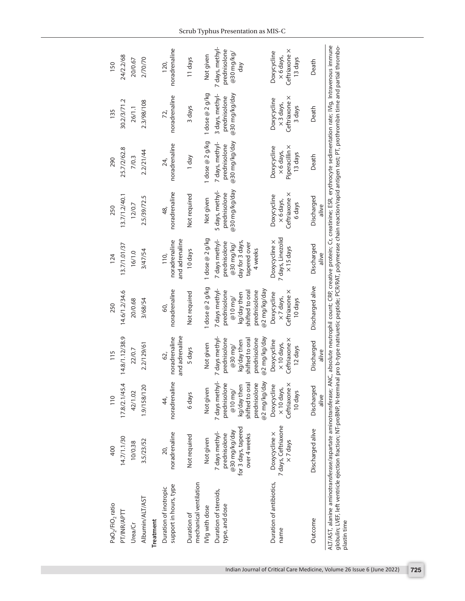| PaO <sub>2</sub> /FiO <sub>2</sub> ratio                                                                                                                                                                                                                                                                                                                                                                                       | 400                                                                                    | $\frac{10}{10}$                                                                                               | 115                                                                                                         | 250                                                                                                           | 124                                                                                        | 250                                                           | 290                                                          | 135                                                        | 150                                                         |
|--------------------------------------------------------------------------------------------------------------------------------------------------------------------------------------------------------------------------------------------------------------------------------------------------------------------------------------------------------------------------------------------------------------------------------|----------------------------------------------------------------------------------------|---------------------------------------------------------------------------------------------------------------|-------------------------------------------------------------------------------------------------------------|---------------------------------------------------------------------------------------------------------------|--------------------------------------------------------------------------------------------|---------------------------------------------------------------|--------------------------------------------------------------|------------------------------------------------------------|-------------------------------------------------------------|
| PT/INR/APTT                                                                                                                                                                                                                                                                                                                                                                                                                    | 14.7/1.1/30                                                                            | 17.8/2.1/45.4                                                                                                 | 14.8/1.12/38.9                                                                                              | 14.6/1.2/34.6                                                                                                 | 13.7/1.01/37                                                                               | 13.7/1.2/40.1                                                 | œ<br>25.7/2/62.                                              | 30.2/3/71.2                                                | 24/2.2/68                                                   |
| Urea/Cr                                                                                                                                                                                                                                                                                                                                                                                                                        | 10/0.38                                                                                | 42/1.02                                                                                                       | 22/0.7                                                                                                      | 20/0.68                                                                                                       | 16/1.0                                                                                     | 12/0.7                                                        | 7/0.3                                                        | 26/1.1                                                     | 20/0.67                                                     |
| Albumin/ALT/AST                                                                                                                                                                                                                                                                                                                                                                                                                | 3.5/23/52                                                                              | 1.9/158/120                                                                                                   | 2.2/129/61                                                                                                  | 3/68/54                                                                                                       | 3/47/54                                                                                    | 2.5/39/72.5                                                   | 2.2/21/44                                                    | 2.3/98/108                                                 | 2/70/70                                                     |
| Treatment                                                                                                                                                                                                                                                                                                                                                                                                                      |                                                                                        |                                                                                                               |                                                                                                             |                                                                                                               |                                                                                            |                                                               |                                                              |                                                            |                                                             |
| support in hours, type<br>Duration of inotropic                                                                                                                                                                                                                                                                                                                                                                                | noradrenaline<br>20,                                                                   | noradrenaline<br>44,                                                                                          | and adrenaline<br>noradrenaline<br>62,                                                                      | noradrenaline<br>60,                                                                                          | and adrenaline<br>noradrenaline<br>110,                                                    | noradrenaline<br>$\frac{8}{3}$                                | noradrenaline<br>24,                                         | noradrenaline<br>72,                                       | noradrenaline<br>120,                                       |
| mechanical ventilation<br>Duration of                                                                                                                                                                                                                                                                                                                                                                                          | Not required                                                                           | 6 days                                                                                                        | 5 days                                                                                                      | Not required                                                                                                  | 10 days                                                                                    | Not required                                                  | 1 day                                                        | 3 days                                                     | 11 days                                                     |
| IVIg with dose                                                                                                                                                                                                                                                                                                                                                                                                                 | Not given                                                                              | Not given                                                                                                     | Not given                                                                                                   | l dose @ 2 g/kg                                                                                               | dose $@$ 2 g/kg                                                                            | Not given                                                     | dose @ 2 g/kg                                                | dose $@2g/kg$                                              | Not given                                                   |
| Duration of steroids,<br>type, and dose                                                                                                                                                                                                                                                                                                                                                                                        | for 3 days, tapered<br>@30 mg/kg/day<br>7 days methyl-<br>prednisolone<br>over 4 weeks | 7 days methyl-<br>prednisolone<br>kg/day then<br>shifted to oral<br>prednisolone<br>@2 mg/kg/day<br>$@10$ mg/ | 7 days methyl-<br>@2 mg/kg/day<br>shifted to oral<br>prednisolone<br>prednisolone<br>ka/day then<br>@30 mg/ | 7 days methyl-<br>@2 mg/kg/day<br>prednisolone<br>shifted to oral<br>prednisolone<br>kg/day then<br>$@10$ mg/ | 7 days methyl-<br>day for 3 days,<br>prednisolone<br>tapered over<br>@30 mg/kg/<br>4 weeks | 5 days, methyl-<br>@30 mg/kg/day<br>prednisolone              | @30 mg/kg/day<br>7 days, methyl-<br>prednisolone             | @30 mg/kg/day<br>3 days, methyl-<br>prednisolone           | 7 days, methyl-<br>prednisolone<br>@30 mg/kg/<br>day        |
| Duration of antibiotics,<br>name                                                                                                                                                                                                                                                                                                                                                                                               | 7 days, Ceftriaxone<br>Doxycycline x<br>$\times$ 7 days                                | Ceftriaxone x<br>Doxycycline<br>x 10 days,<br>10 days                                                         | Ceftriaxone ×<br>Doxycycline<br>$\times$ 10 days,<br>12 days                                                | Ceftriaxone x<br>Doxycycline<br>$\times$ 7 days,<br>10 days                                                   | 7 days, Linezolid<br>Doxycycline x<br>$\times$ 15 days                                     | ×<br>Doxycycline<br>Ceftriaxone<br>$\times$ 6 days,<br>6 days | Piperacillin x<br>Doxycycline<br>$\times$ 6 days,<br>13 days | Ceftriaxone x<br>Doxycycline<br>$\times$ 3 days,<br>3 days | Ceftriaxone x<br>Doxycycline<br>$\times$ 6 days,<br>13 days |
| Outcome                                                                                                                                                                                                                                                                                                                                                                                                                        | Discharged alive                                                                       | Discharged<br>alive                                                                                           | Discharged<br>alive                                                                                         | Discharged alive                                                                                              | Discharged<br>alive                                                                        | Discharged<br>alive                                           | Death                                                        | Death                                                      | Death                                                       |
| ALT/AST, alanine aminotransferase/aspartate aminotransferase; ANC, absolute neutrophil count; CRP, creative protein; Cr, creatinine; ESR, erythrocyte sedimentation rate; IVIg, Intravenous immune<br>globulin; LVEF, left ventricle ejection fraction; NT-proBNP, N-terminal pro b-type natriuretic peptide; PCR/RAT, polymerase chain reaction/rapid antigen test; PT, prothrombin time and partial thrombo-<br>plastin time |                                                                                        |                                                                                                               |                                                                                                             |                                                                                                               |                                                                                            |                                                               |                                                              |                                                            |                                                             |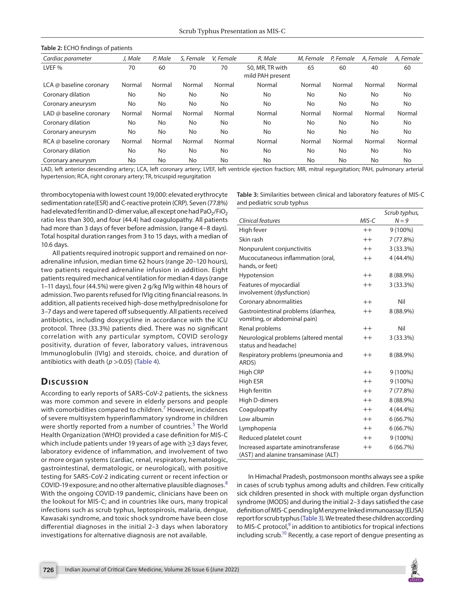#### <span id="page-3-0"></span>**Table 2:** ECHO findings of patients

| Cardiac parameter       | J. Male | P, Male | S. Female | V. Female | R. Male                             | M. Female | P. Female | A. Female | A, Female |
|-------------------------|---------|---------|-----------|-----------|-------------------------------------|-----------|-----------|-----------|-----------|
| LVEF %                  | 70      | 60      | 70        | 70        | 50, MR, TR with<br>mild PAH present | 65        | 60        | 40        | 60        |
| LCA @ baseline coronary | Normal  | Normal  | Normal    | Normal    | Normal                              | Normal    | Normal    | Normal    | Normal    |
| Coronary dilation       | No      | No      | No.       | No        | No                                  | No        | No        | No        | No        |
| Coronary aneurysm       | No      | No      | No.       | No        | No                                  | No        | No        | No        | No        |
| LAD @ baseline coronary | Normal  | Normal  | Normal    | Normal    | Normal                              | Normal    | Normal    | Normal    | Normal    |
| Coronary dilation       | No      | No      | No.       | No        | No                                  | No        | No        | No.       | No        |
| Coronary aneurysm       | No      | No      | No.       | No        | No                                  | No        | No        | No        | No        |
| RCA @ baseline coronary | Normal  | Normal  | Normal    | Normal    | Normal                              | Normal    | Normal    | Normal    | Normal    |
| Coronary dilation       | No      | No      | No.       | No        | No                                  | No        | No        | No        | No        |
| Coronary aneurysm       | No      | No      | No        | No        | No                                  | No        | No        | No        | No        |

LAD, left anterior descending artery; LCA, left coronary artery; LVEF, left ventricle ejection fraction; MR, mitral regurgitation; PAH, pulmonary arterial hypertension; RCA, right coronary artery; TR, tricuspid regurgitation

thrombocytopenia with lowest count 19,000: elevated erythrocyte sedimentation rate(ESR) and C-reactive protein (CRP). Seven (77.8%) had elevated ferritin and D-dimer value, all except one had  $PaO<sub>2</sub>/FiO<sub>2</sub>$ ratio less than 300, and four (44.4) had coagulopathy. All patients had more than 3 days of fever before admission, (range 4–8 days). Total hospital duration ranges from 3 to 15 days, with a median of 10.6 days.

All patients required inotropic support and remained on noradrenaline infusion, median time 62 hours (range 20–120 hours), two patients required adrenaline infusion in addition. Eight patients required mechanical ventilation for median 4 days (range 1–11 days), four (44.5%) were given 2 g/kg IVIg within 48 hours of admission. Two parents refused for IVIg citing financial reasons. In addition, all patients received high-dose methylprednisolone for 3–7 days and were tapered off subsequently. All patients received antibiotics, including doxycycline in accordance with the ICU protocol. Three (33.3%) patients died. There was no significant correlation with any particular symptom, COVID serology positivity, duration of fever, laboratory values, intravenous Immunoglobulin (IVIg) and steroids, choice, and duration of antibiotics with death  $(p > 0.05)$  ([Table 4\)](#page-4-3).

## **Dis c u s sio n**

According to early reports of SARS-CoV-2 patients, the sickness was more common and severe in elderly persons and people with comorbidities compared to children.<sup>[7](#page-4-6)</sup> However, incidences of severe multisystem hyperinflammatory syndrome in children were shortly reported from a number of countries.<sup>[5](#page-4-4)</sup> The World Health Organization (WHO) provided a case definition for MIS-C which include patients under 19 years of age with ≥3 days fever, laboratory evidence of inflammation, and involvement of two or more organ systems (cardiac, renal, respiratory, hematologic, gastrointestinal, dermatologic, or neurological), with positive testing for SARS-CoV-2 indicating current or recent infection or COVID-19 exposure; and no other alternative plausible diagnoses.[8](#page-4-7) With the ongoing COVID-19 pandemic, clinicians have been on the lookout for MIS-C; and in countries like ours, many tropical infections such as scrub typhus, leptospirosis, malaria, dengue, Kawasaki syndrome, and toxic shock syndrome have been close differential diagnoses in the initial 2–3 days when laboratory investigations for alternative diagnosis are not available.

<span id="page-3-1"></span>**Table 3:** Similarities between clinical and laboratory features of MIS-C and pediatric scrub typhus

|                                                                              |         | Scrub typhus, |
|------------------------------------------------------------------------------|---------|---------------|
| Clinical features                                                            | $MIS-C$ | $N = 9$       |
| High fever                                                                   | $^{++}$ | 9 (100%)      |
| Skin rash                                                                    | $^{++}$ | 7 (77.8%)     |
| Nonpurulent conjunctivitis                                                   | $^{++}$ | 3(33.3%)      |
| Mucocutaneous inflammation (oral,<br>hands, or feet)                         | $^{++}$ | 4 (44.4%)     |
| Hypotension                                                                  | $++$    | 8 (88.9%)     |
| Features of myocardial<br>involvement (dysfunction)                          | $++$    | 3(33.3%)      |
| Coronary abnormalities                                                       | $^{++}$ | Nil           |
| Gastrointestinal problems (diarrhea,<br>vomiting, or abdominal pain)         | $++$    | 8 (88.9%)     |
| Renal problems                                                               | $^{++}$ | Nil           |
| Neurological problems (altered mental<br>status and headache)                | $++$    | 3(33.3%)      |
| Respiratory problems (pneumonia and<br>ARDS)                                 | $^{++}$ | 8 (88.9%)     |
| High CRP                                                                     | $++$    | 9 (100%)      |
| High ESR                                                                     | $^{++}$ | 9 (100%)      |
| High ferritin                                                                | $^{++}$ | 7 (77.8%)     |
| High D-dimers                                                                | $^{++}$ | 8 (88.9%)     |
| Coagulopathy                                                                 | $^{++}$ | 4 (44.4%)     |
| Low albumin                                                                  | $^{++}$ | 6(66.7%)      |
| Lymphopenia                                                                  | $^{++}$ | 6(66.7%)      |
| Reduced platelet count                                                       | $^{++}$ | 9 (100%)      |
| Increased aspartate aminotransferase<br>(AST) and alanine transaminase (ALT) | $^{++}$ | 6(66.7%)      |

In Himachal Pradesh, postmonsoon months always see a spike in cases of scrub typhus among adults and children. Few critically sick children presented in shock with multiple organ dysfunction syndrome (MODS) and during the initial 2–3 days satisfied the case definition of MIS-C pending IgM enzyme linked immunoassay (ELISA) report for scrub typhus ([Table 3](#page-3-1)). We treated these children according to MIS-C protocol, $9$  in addition to antibiotics for tropical infections including scrub.<sup>10</sup> Recently, a case report of dengue presenting as